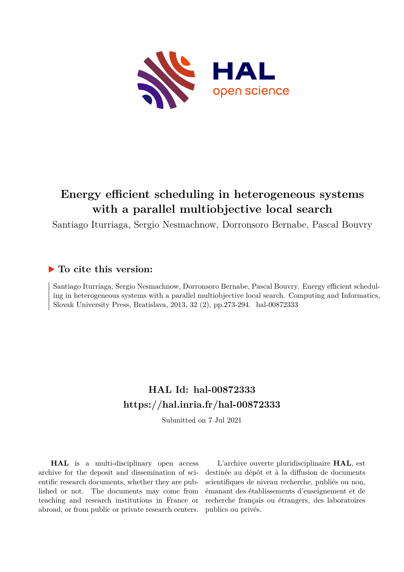

# **Energy efficient scheduling in heterogeneous systems with a parallel multiobjective local search**

Santiago Iturriaga, Sergio Nesmachnow, Dorronsoro Bernabe, Pascal Bouvry

## **To cite this version:**

Santiago Iturriaga, Sergio Nesmachnow, Dorronsoro Bernabe, Pascal Bouvry. Energy efficient scheduling in heterogeneous systems with a parallel multiobjective local search. Computing and Informatics, Slovak University Press, Bratislava, 2013, 32 (2), pp.273-294. hal-00872333

# **HAL Id: hal-00872333 <https://hal.inria.fr/hal-00872333>**

Submitted on 7 Jul 2021

**HAL** is a multi-disciplinary open access archive for the deposit and dissemination of scientific research documents, whether they are published or not. The documents may come from teaching and research institutions in France or abroad, or from public or private research centers.

L'archive ouverte pluridisciplinaire **HAL**, est destinée au dépôt et à la diffusion de documents scientifiques de niveau recherche, publiés ou non, émanant des établissements d'enseignement et de recherche français ou étrangers, des laboratoires publics ou privés.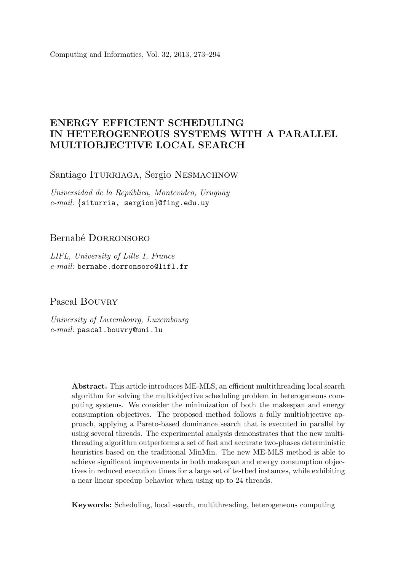Computing and Informatics, Vol. 32, 2013, 273–294

### ENERGY EFFICIENT SCHEDULING IN HETEROGENEOUS SYSTEMS WITH A PARALLEL MULTIOBJECTIVE LOCAL SEARCH

Santiago ITURRIAGA, Sergio NESMACHNOW

Universidad de la República, Montevideo, Uruguay e-mail: {siturria, sergion}@fing.edu.uy

### Bernabé DORRONSORO

LIFL, University of Lille 1, France e-mail: bernabe.dorronsoro@lifl.fr

Pascal Bouvry

University of Luxembourg, Luxembourg e-mail: pascal.bouvry@uni.lu

> Abstract. This article introduces ME-MLS, an efficient multithreading local search algorithm for solving the multiobjective scheduling problem in heterogeneous computing systems. We consider the minimization of both the makespan and energy consumption objectives. The proposed method follows a fully multiobjective approach, applying a Pareto-based dominance search that is executed in parallel by using several threads. The experimental analysis demonstrates that the new multithreading algorithm outperforms a set of fast and accurate two-phases deterministic heuristics based on the traditional MinMin. The new ME-MLS method is able to achieve significant improvements in both makespan and energy consumption objectives in reduced execution times for a large set of testbed instances, while exhibiting a near linear speedup behavior when using up to 24 threads.

Keywords: Scheduling, local search, multithreading, heterogeneous computing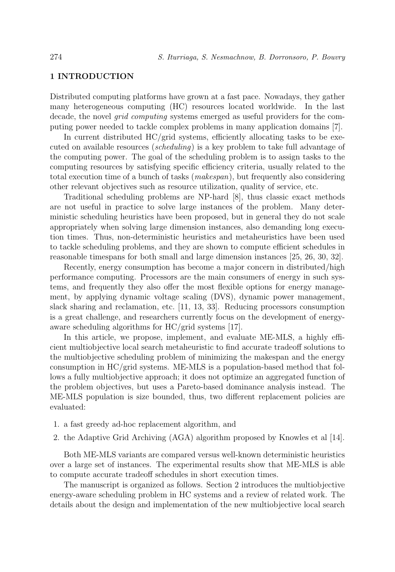#### 1 INTRODUCTION

Distributed computing platforms have grown at a fast pace. Nowadays, they gather many heterogeneous computing (HC) resources located worldwide. In the last decade, the novel grid computing systems emerged as useful providers for the computing power needed to tackle complex problems in many application domains [7].

In current distributed  $HC/grid$  systems, efficiently allocating tasks to be executed on available resources (scheduling) is a key problem to take full advantage of the computing power. The goal of the scheduling problem is to assign tasks to the computing resources by satisfying specific efficiency criteria, usually related to the total execution time of a bunch of tasks (makespan), but frequently also considering other relevant objectives such as resource utilization, quality of service, etc.

Traditional scheduling problems are NP-hard [8], thus classic exact methods are not useful in practice to solve large instances of the problem. Many deterministic scheduling heuristics have been proposed, but in general they do not scale appropriately when solving large dimension instances, also demanding long execution times. Thus, non-deterministic heuristics and metaheuristics have been used to tackle scheduling problems, and they are shown to compute efficient schedules in reasonable timespans for both small and large dimension instances [25, 26, 30, 32].

Recently, energy consumption has become a major concern in distributed/high performance computing. Processors are the main consumers of energy in such systems, and frequently they also offer the most flexible options for energy management, by applying dynamic voltage scaling (DVS), dynamic power management, slack sharing and reclamation, etc. [11, 13, 33]. Reducing processors consumption is a great challenge, and researchers currently focus on the development of energyaware scheduling algorithms for HC/grid systems [17].

In this article, we propose, implement, and evaluate ME-MLS, a highly efficient multiobjective local search metaheuristic to find accurate tradeoff solutions to the multiobjective scheduling problem of minimizing the makespan and the energy consumption in HC/grid systems. ME-MLS is a population-based method that follows a fully multiobjective approach; it does not optimize an aggregated function of the problem objectives, but uses a Pareto-based dominance analysis instead. The ME-MLS population is size bounded, thus, two different replacement policies are evaluated:

- 1. a fast greedy ad-hoc replacement algorithm, and
- 2. the Adaptive Grid Archiving (AGA) algorithm proposed by Knowles et al [14].

Both ME-MLS variants are compared versus well-known deterministic heuristics over a large set of instances. The experimental results show that ME-MLS is able to compute accurate tradeoff schedules in short execution times.

The manuscript is organized as follows. Section 2 introduces the multiobjective energy-aware scheduling problem in HC systems and a review of related work. The details about the design and implementation of the new multiobjective local search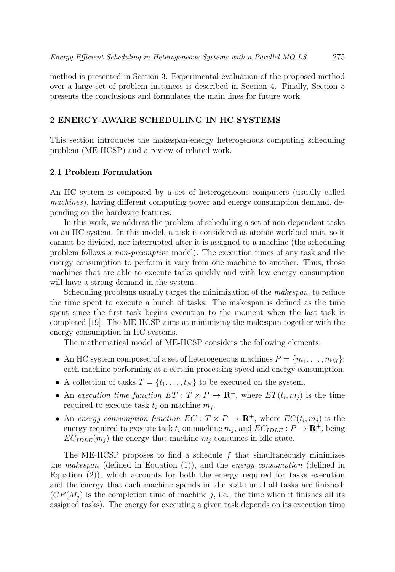method is presented in Section 3. Experimental evaluation of the proposed method over a large set of problem instances is described in Section 4. Finally, Section 5 presents the conclusions and formulates the main lines for future work.

#### 2 ENERGY-AWARE SCHEDULING IN HC SYSTEMS

This section introduces the makespan-energy heterogenous computing scheduling problem (ME-HCSP) and a review of related work.

#### 2.1 Problem Formulation

An HC system is composed by a set of heterogeneous computers (usually called machines), having different computing power and energy consumption demand, depending on the hardware features.

In this work, we address the problem of scheduling a set of non-dependent tasks on an HC system. In this model, a task is considered as atomic workload unit, so it cannot be divided, nor interrupted after it is assigned to a machine (the scheduling problem follows a non-preemptive model). The execution times of any task and the energy consumption to perform it vary from one machine to another. Thus, those machines that are able to execute tasks quickly and with low energy consumption will have a strong demand in the system.

Scheduling problems usually target the minimization of the makespan, to reduce the time spent to execute a bunch of tasks. The makespan is defined as the time spent since the first task begins execution to the moment when the last task is completed [19]. The ME-HCSP aims at minimizing the makespan together with the energy consumption in HC systems.

The mathematical model of ME-HCSP considers the following elements:

- An HC system composed of a set of heterogeneous machines  $P = \{m_1, \ldots, m_M\};$ each machine performing at a certain processing speed and energy consumption.
- A collection of tasks  $T = \{t_1, \ldots, t_N\}$  to be executed on the system.
- An execution time function  $ET: T \times P \to \mathbf{R}^+$ , where  $ET(t_i, m_i)$  is the time required to execute task  $t_i$  on machine  $m_j$ .
- An energy consumption function  $EC: T \times P \to \mathbf{R}^+$ , where  $EC(t_i, m_i)$  is the energy required to execute task  $t_i$  on machine  $m_j$ , and  $EC_{IDLE}: P \to \mathbb{R}^+$ , being  $EC_{IDLE}(m_i)$  the energy that machine  $m_i$  consumes in idle state.

The ME-HCSP proposes to find a schedule  $f$  that simultaneously minimizes the *makespan* (defined in Equation  $(1)$ ), and the *energy consumption* (defined in Equation (2)), which accounts for both the energy required for tasks execution and the energy that each machine spends in idle state until all tasks are finished;  $(CP(M<sub>i</sub>)$  is the completion time of machine j, i.e., the time when it finishes all its assigned tasks). The energy for executing a given task depends on its execution time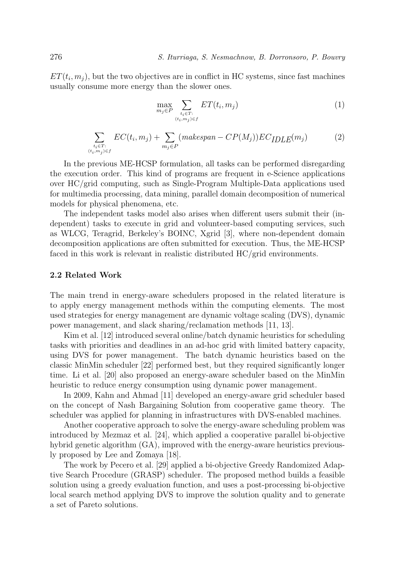$ET(t_i, m_i)$ , but the two objectives are in conflict in HC systems, since fast machines usually consume more energy than the slower ones.

$$
\max_{m_j \in P} \sum_{\substack{t_i \in T:\\(t_i, m_j) \in f}} ET(t_i, m_j) \tag{1}
$$

$$
\sum_{\substack{t_i \in T: \\ (t_i, m_j) \in f}} EC(t_i, m_j) + \sum_{m_j \in P} (makespan - CP(M_j)) EC_{IDLE}(m_j)
$$
 (2)

In the previous ME-HCSP formulation, all tasks can be performed disregarding the execution order. This kind of programs are frequent in e-Science applications over HC/grid computing, such as Single-Program Multiple-Data applications used for multimedia processing, data mining, parallel domain decomposition of numerical models for physical phenomena, etc.

The independent tasks model also arises when different users submit their (independent) tasks to execute in grid and volunteer-based computing services, such as WLCG, Teragrid, Berkeley's BOINC, Xgrid [3], where non-dependent domain decomposition applications are often submitted for execution. Thus, the ME-HCSP faced in this work is relevant in realistic distributed HC/grid environments.

#### 2.2 Related Work

The main trend in energy-aware schedulers proposed in the related literature is to apply energy management methods within the computing elements. The most used strategies for energy management are dynamic voltage scaling (DVS), dynamic power management, and slack sharing/reclamation methods [11, 13].

Kim et al. [12] introduced several online/batch dynamic heuristics for scheduling tasks with priorities and deadlines in an ad-hoc grid with limited battery capacity, using DVS for power management. The batch dynamic heuristics based on the classic MinMin scheduler [22] performed best, but they required significantly longer time. Li et al. [20] also proposed an energy-aware scheduler based on the MinMin heuristic to reduce energy consumption using dynamic power management.

In 2009, Kahn and Ahmad [11] developed an energy-aware grid scheduler based on the concept of Nash Bargaining Solution from cooperative game theory. The scheduler was applied for planning in infrastructures with DVS-enabled machines.

Another cooperative approach to solve the energy-aware scheduling problem was introduced by Mezmaz et al. [24], which applied a cooperative parallel bi-objective hybrid genetic algorithm (GA), improved with the energy-aware heuristics previously proposed by Lee and Zomaya [18].

The work by Pecero et al. [29] applied a bi-objective Greedy Randomized Adaptive Search Procedure (GRASP) scheduler. The proposed method builds a feasible solution using a greedy evaluation function, and uses a post-processing bi-objective local search method applying DVS to improve the solution quality and to generate a set of Pareto solutions.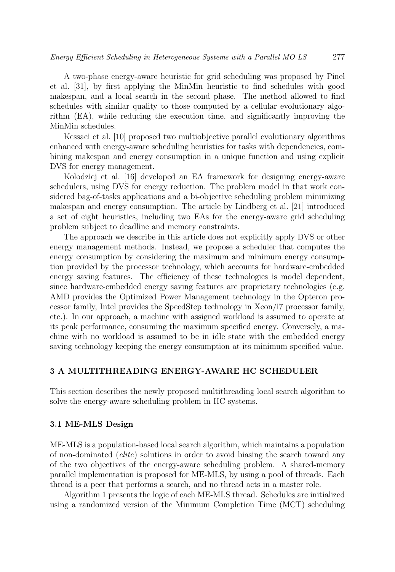A two-phase energy-aware heuristic for grid scheduling was proposed by Pinel et al. [31], by first applying the MinMin heuristic to find schedules with good makespan, and a local search in the second phase. The method allowed to find schedules with similar quality to those computed by a cellular evolutionary algorithm (EA), while reducing the execution time, and significantly improving the MinMin schedules.

Kessaci et al. [10] proposed two multiobjective parallel evolutionary algorithms enhanced with energy-aware scheduling heuristics for tasks with dependencies, combining makespan and energy consumption in a unique function and using explicit DVS for energy management.

Kolodziej et al. [16] developed an EA framework for designing energy-aware schedulers, using DVS for energy reduction. The problem model in that work considered bag-of-tasks applications and a bi-objective scheduling problem minimizing makespan and energy consumption. The article by Lindberg et al. [21] introduced a set of eight heuristics, including two EAs for the energy-aware grid scheduling problem subject to deadline and memory constraints.

The approach we describe in this article does not explicitly apply DVS or other energy management methods. Instead, we propose a scheduler that computes the energy consumption by considering the maximum and minimum energy consumption provided by the processor technology, which accounts for hardware-embedded energy saving features. The efficiency of these technologies is model dependent, since hardware-embedded energy saving features are proprietary technologies (e.g. AMD provides the Optimized Power Management technology in the Opteron processor family, Intel provides the SpeedStep technology in Xeon/i7 processor family, etc.). In our approach, a machine with assigned workload is assumed to operate at its peak performance, consuming the maximum specified energy. Conversely, a machine with no workload is assumed to be in idle state with the embedded energy saving technology keeping the energy consumption at its minimum specified value.

#### 3 A MULTITHREADING ENERGY-AWARE HC SCHEDULER

This section describes the newly proposed multithreading local search algorithm to solve the energy-aware scheduling problem in HC systems.

#### 3.1 ME-MLS Design

ME-MLS is a population-based local search algorithm, which maintains a population of non-dominated (elite) solutions in order to avoid biasing the search toward any of the two objectives of the energy-aware scheduling problem. A shared-memory parallel implementation is proposed for ME-MLS, by using a pool of threads. Each thread is a peer that performs a search, and no thread acts in a master role.

Algorithm 1 presents the logic of each ME-MLS thread. Schedules are initialized using a randomized version of the Minimum Completion Time (MCT) scheduling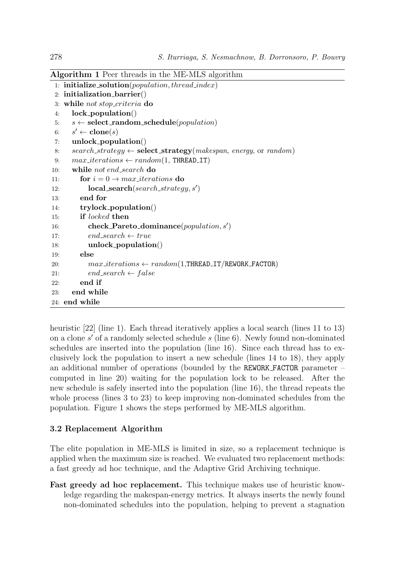Algorithm 1 Peer threads in the ME-MLS algorithm 1: initialize\_solution( $population, thread\_index)$ ) 2: initialization barrier() 3: while not stop criteria do 4: lock population() 5:  $s \leftarrow \text{select\_random\_schedule}(population)$ 6:  $s' \leftarrow \textbf{clone}(s)$ 7: unlock population() 8: search\_strategy  $\leftarrow$  select\_strategy(makespan, energy, or random) 9:  $max\_iterations \leftarrow random(1, \text{THREAD\_IT})$ 10: while not end search do 11: for  $i = 0 \rightarrow max\_iterations$  do 12:  $\qquad \qquad \textbf{local\_search}(search\_strategy, s')$ 13: end for 14: trylock population() 15: if locked then 16: **check\_Pareto\_dominance** $(population, s')$ 17:  $end\_search \leftarrow true$ 18: unlock population() 19: else 20:  $max\_iterations \leftarrow random(1, \text{THEAD\_IT/REWORK\_FACTOR)}$ 21:  $end\_search \leftarrow false$  $22:$  end if 23: end while 24: end while

heuristic [22] (line 1). Each thread iteratively applies a local search (lines 11 to 13) on a clone  $s'$  of a randomly selected schedule  $s$  (line 6). Newly found non-dominated schedules are inserted into the population (line 16). Since each thread has to exclusively lock the population to insert a new schedule (lines 14 to 18), they apply an additional number of operations (bounded by the REWORK FACTOR parameter  $$ computed in line 20) waiting for the population lock to be released. After the new schedule is safely inserted into the population (line 16), the thread repeats the whole process (lines 3 to 23) to keep improving non-dominated schedules from the population. Figure 1 shows the steps performed by ME-MLS algorithm.

#### 3.2 Replacement Algorithm

The elite population in ME-MLS is limited in size, so a replacement technique is applied when the maximum size is reached. We evaluated two replacement methods: a fast greedy ad hoc technique, and the Adaptive Grid Archiving technique.

Fast greedy ad hoc replacement. This technique makes use of heuristic knowledge regarding the makespan-energy metrics. It always inserts the newly found non-dominated schedules into the population, helping to prevent a stagnation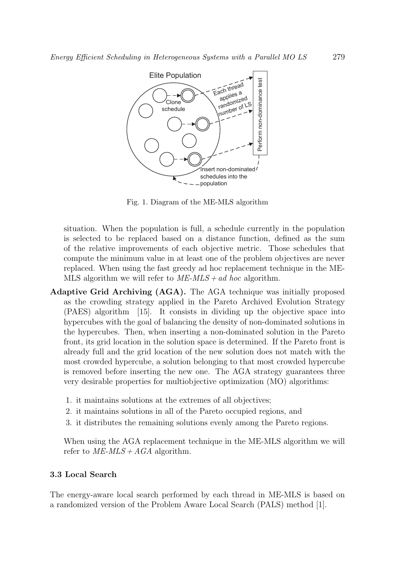

Fig. 1. Diagram of the ME-MLS algorithm

situation. When the population is full, a schedule currently in the population is selected to be replaced based on a distance function, defined as the sum of the relative improvements of each objective metric. Those schedules that compute the minimum value in at least one of the problem objectives are never replaced. When using the fast greedy ad hoc replacement technique in the ME-MLS algorithm we will refer to  $ME\text{-}MLS + ad$  hoc algorithm.

- Adaptive Grid Archiving (AGA). The AGA technique was initially proposed as the crowding strategy applied in the Pareto Archived Evolution Strategy (PAES) algorithm [15]. It consists in dividing up the objective space into hypercubes with the goal of balancing the density of non-dominated solutions in the hypercubes. Then, when inserting a non-dominated solution in the Pareto front, its grid location in the solution space is determined. If the Pareto front is already full and the grid location of the new solution does not match with the most crowded hypercube, a solution belonging to that most crowded hypercube is removed before inserting the new one. The AGA strategy guarantees three very desirable properties for multiobjective optimization (MO) algorithms:
	- 1. it maintains solutions at the extremes of all objectives;
	- 2. it maintains solutions in all of the Pareto occupied regions, and
	- 3. it distributes the remaining solutions evenly among the Pareto regions.

When using the AGA replacement technique in the ME-MLS algorithm we will refer to  $ME\text{-}MLS + AGA$  algorithm.

#### 3.3 Local Search

The energy-aware local search performed by each thread in ME-MLS is based on a randomized version of the Problem Aware Local Search (PALS) method [1].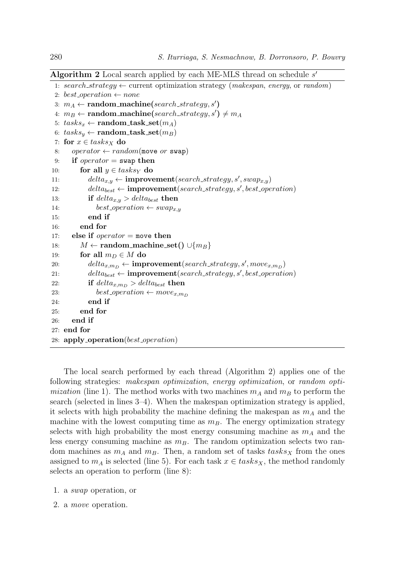Algorithm 2 Local search applied by each ME-MLS thread on schedule  $s^\prime$ 

```
1: search_strategy \leftarrow current optimization strategy (makespan, energy, or random)
 2: best_operation \leftarrow none
 3: m_A \leftarrow \text{random\_machine}(search\_strategy, s')4: m_B \leftarrow \text{random\_machine}(search\_strategy, s') \neq m_A5: tasks_x \leftarrow \text{random\_task_set}(m_A)6: tasks_y \leftarrow \text{random\_task\_set}(m_B)7: for x \in tasks_X do
 8: operator \leftarrow random(move or swap)
9: if operator = swap then
10: for all y \in tasks_Y do
11: delta_{x,y} \leftarrow \text{improvement}(search\_strategy, s', swap_{x,y})12: delta_{best} \leftarrow \text{improvement}(search\_strategy, s', best\_operation)13: if delta_{x,y} > delta_{best} then
14: best_operation \leftarrow swap_{x,y}15: end if
16: end for
17: else if operator = move then
18: M \leftarrow \text{random\_machine\_set}() \cup \{m_B\}19: for all m_D \in M do
20: delta_{x,m_D} \leftarrow \text{improvement}(search\_strategy, s', move_{x,m_D})21: delta_{best} \leftarrow improvement(ssearch\_strategy, s', best\_operation)22: if delta_{x,m_D} > delta_{best} then
23: best_operation \leftarrow move_{x,m_D}24: end if
25: end for
26: end if
27: end for
28: apply_operation(best_operation)
```
The local search performed by each thread (Algorithm 2) applies one of the following strategies: makespan optimization, energy optimization, or random opti*mization* (line 1). The method works with two machines  $m_A$  and  $m_B$  to perform the search (selected in lines 3–4). When the makespan optimization strategy is applied, it selects with high probability the machine defining the makespan as  $m_A$  and the machine with the lowest computing time as  $m_B$ . The energy optimization strategy selects with high probability the most energy consuming machine as  $m_A$  and the less energy consuming machine as  $m_B$ . The random optimization selects two random machines as  $m_A$  and  $m_B$ . Then, a random set of tasks tasks<sub>X</sub> from the ones assigned to  $m_A$  is selected (line 5). For each task  $x \in tasks_X$ , the method randomly selects an operation to perform (line 8):

1. a swap operation, or

2. a move operation.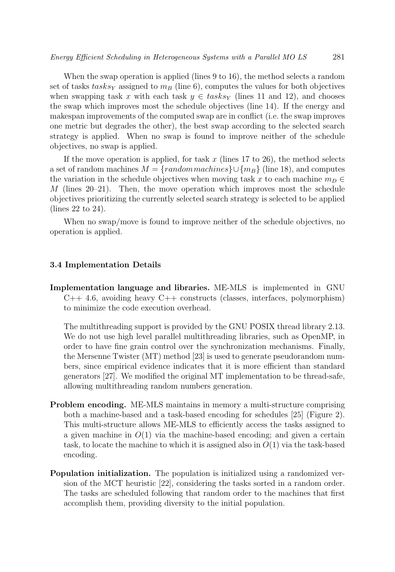When the swap operation is applied (lines 9 to 16), the method selects a random set of tasks tasks<sub>Y</sub> assigned to  $m_B$  (line 6), computes the values for both objectives when swapping task x with each task  $y \in \text{tasks}_Y$  (lines 11 and 12), and chooses the swap which improves most the schedule objectives (line 14). If the energy and makespan improvements of the computed swap are in conflict (i.e. the swap improves one metric but degrades the other), the best swap according to the selected search strategy is applied. When no swap is found to improve neither of the schedule objectives, no swap is applied.

If the move operation is applied, for task x (lines 17 to 26), the method selects a set of random machines  $M = \{random\,math> machines\} \cup \{m_B\}$  (line 18), and computes the variation in the schedule objectives when moving task x to each machine  $m_D \in$  $M$  (lines 20–21). Then, the move operation which improves most the schedule objectives prioritizing the currently selected search strategy is selected to be applied (lines 22 to 24).

When no swap/move is found to improve neither of the schedule objectives, no operation is applied.

#### 3.4 Implementation Details

Implementation language and libraries. ME-MLS is implemented in GNU  $C++$  4.6, avoiding heavy  $C++$  constructs (classes, interfaces, polymorphism) to minimize the code execution overhead.

The multithreading support is provided by the GNU POSIX thread library 2.13. We do not use high level parallel multithreading libraries, such as OpenMP, in order to have fine grain control over the synchronization mechanisms. Finally, the Mersenne Twister (MT) method [23] is used to generate pseudorandom numbers, since empirical evidence indicates that it is more efficient than standard generators [27]. We modified the original MT implementation to be thread-safe, allowing multithreading random numbers generation.

- Problem encoding. ME-MLS maintains in memory a multi-structure comprising both a machine-based and a task-based encoding for schedules [25] (Figure 2). This multi-structure allows ME-MLS to efficiently access the tasks assigned to a given machine in  $O(1)$  via the machine-based encoding; and given a certain task, to locate the machine to which it is assigned also in  $O(1)$  via the task-based encoding.
- Population initialization. The population is initialized using a randomized version of the MCT heuristic [22], considering the tasks sorted in a random order. The tasks are scheduled following that random order to the machines that first accomplish them, providing diversity to the initial population.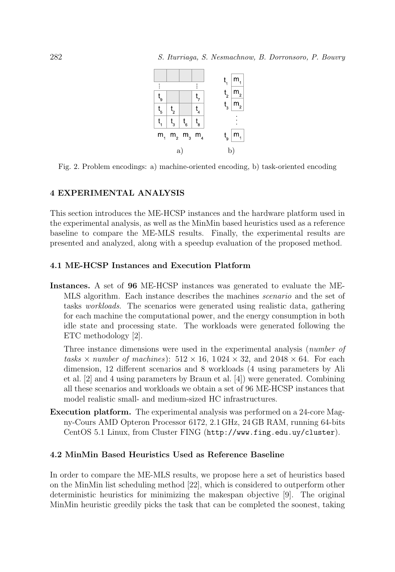

Fig. 2. Problem encodings: a) machine-oriented encoding, b) task-oriented encoding

#### 4 EXPERIMENTAL ANALYSIS

This section introduces the ME-HCSP instances and the hardware platform used in the experimental analysis, as well as the MinMin based heuristics used as a reference baseline to compare the ME-MLS results. Finally, the experimental results are presented and analyzed, along with a speedup evaluation of the proposed method.

#### 4.1 ME-HCSP Instances and Execution Platform

Instances. A set of 96 ME-HCSP instances was generated to evaluate the ME-MLS algorithm. Each instance describes the machines scenario and the set of tasks workloads. The scenarios were generated using realistic data, gathering for each machine the computational power, and the energy consumption in both idle state and processing state. The workloads were generated following the ETC methodology [2].

Three instance dimensions were used in the experimental analysis (number of tasks  $\times$  number of machines):  $512 \times 16$ ,  $1024 \times 32$ , and  $2048 \times 64$ . For each dimension, 12 different scenarios and 8 workloads (4 using parameters by Ali et al. [2] and 4 using parameters by Braun et al. [4]) were generated. Combining all these scenarios and workloads we obtain a set of 96 ME-HCSP instances that model realistic small- and medium-sized HC infrastructures.

Execution platform. The experimental analysis was performed on a 24-core Magny-Cours AMD Opteron Processor 6172, 2.1 GHz, 24 GB RAM, running 64-bits CentOS 5.1 Linux, from Cluster FING (http://www.fing.edu.uy/cluster).

#### 4.2 MinMin Based Heuristics Used as Reference Baseline

In order to compare the ME-MLS results, we propose here a set of heuristics based on the MinMin list scheduling method [22], which is considered to outperform other deterministic heuristics for minimizing the makespan objective [9]. The original MinMin heuristic greedily picks the task that can be completed the soonest, taking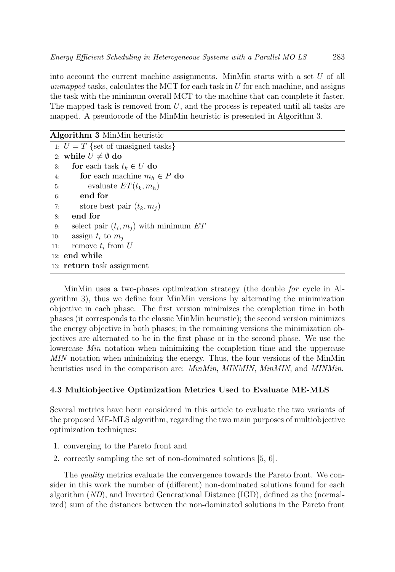into account the current machine assignments. MinMin starts with a set  $U$  of all unmapped tasks, calculates the MCT for each task in  $U$  for each machine, and assigns the task with the minimum overall MCT to the machine that can complete it faster. The mapped task is removed from  $U$ , and the process is repeated until all tasks are mapped. A pseudocode of the MinMin heuristic is presented in Algorithm 3.

| Algorithm 3 MinMin heuristic |                                          |  |  |  |  |  |
|------------------------------|------------------------------------------|--|--|--|--|--|
|                              | 1: $U = T$ {set of unasigned tasks}      |  |  |  |  |  |
|                              | 2: while $U \neq \emptyset$ do           |  |  |  |  |  |
| 3:                           | for each task $t_k \in U$ do             |  |  |  |  |  |
| 4:                           | for each machine $m_h \in P$ do          |  |  |  |  |  |
| 5:                           | evaluate $ET(t_k, m_h)$                  |  |  |  |  |  |
| 6:                           | end for                                  |  |  |  |  |  |
| 7:                           | store best pair $(t_k, m_i)$             |  |  |  |  |  |
| 8:                           | end for                                  |  |  |  |  |  |
| 9:                           | select pair $(t_i, m_j)$ with minimum ET |  |  |  |  |  |
| 10:                          | assign $t_i$ to $m_i$                    |  |  |  |  |  |
| 11:                          | remove $t_i$ from $U$                    |  |  |  |  |  |
|                              | $12:$ end while                          |  |  |  |  |  |
|                              | 13: return task assignment               |  |  |  |  |  |
|                              |                                          |  |  |  |  |  |

MinMin uses a two-phases optimization strategy (the double for cycle in Algorithm 3), thus we define four MinMin versions by alternating the minimization objective in each phase. The first version minimizes the completion time in both phases (it corresponds to the classic MinMin heuristic); the second version minimizes the energy objective in both phases; in the remaining versions the minimization objectives are alternated to be in the first phase or in the second phase. We use the lowercase *Min* notation when minimizing the completion time and the uppercase MIN notation when minimizing the energy. Thus, the four versions of the MinMin heuristics used in the comparison are: *MinMin*, *MINMIN*, *MinMIN*, and *MINMin*.

#### 4.3 Multiobjective Optimization Metrics Used to Evaluate ME-MLS

Several metrics have been considered in this article to evaluate the two variants of the proposed ME-MLS algorithm, regarding the two main purposes of multiobjective optimization techniques:

- 1. converging to the Pareto front and
- 2. correctly sampling the set of non-dominated solutions [5, 6].

The quality metrics evaluate the convergence towards the Pareto front. We consider in this work the number of (different) non-dominated solutions found for each algorithm (ND), and Inverted Generational Distance (IGD), defined as the (normalized) sum of the distances between the non-dominated solutions in the Pareto front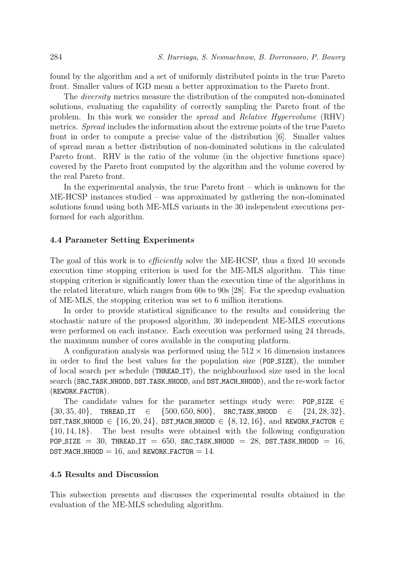found by the algorithm and a set of uniformly distributed points in the true Pareto front. Smaller values of IGD mean a better approximation to the Pareto front.

The diversity metrics measure the distribution of the computed non-dominated solutions, evaluating the capability of correctly sampling the Pareto front of the problem. In this work we consider the spread and Relative Hypervolume (RHV) metrics. Spread includes the information about the extreme points of the true Pareto front in order to compute a precise value of the distribution [6]. Smaller values of spread mean a better distribution of non-dominated solutions in the calculated Pareto front. RHV is the ratio of the volume (in the objective functions space) covered by the Pareto front computed by the algorithm and the volume covered by the real Pareto front.

In the experimental analysis, the true Pareto front – which is unknown for the ME-HCSP instances studied – was approximated by gathering the non-dominated solutions found using both ME-MLS variants in the 30 independent executions performed for each algorithm.

#### 4.4 Parameter Setting Experiments

The goal of this work is to *efficiently* solve the ME-HCSP, thus a fixed 10 seconds execution time stopping criterion is used for the ME-MLS algorithm. This time stopping criterion is significantly lower than the execution time of the algorithms in the related literature, which ranges from 60s to 90s [28]. For the speedup evaluation of ME-MLS, the stopping criterion was set to 6 million iterations.

In order to provide statistical significance to the results and considering the stochastic nature of the proposed algorithm, 30 independent ME-MLS executions were performed on each instance. Each execution was performed using 24 threads, the maximum number of cores available in the computing platform.

A configuration analysis was performed using the  $512 \times 16$  dimension instances in order to find the best values for the population size (POP SIZE), the number of local search per schedule (THREAD IT), the neighbourhood size used in the local search (SRC TASK NHOOD, DST TASK NHOOD, and DST MACH NHOOD), and the re-work factor (REWORK FACTOR).

The candidate values for the parameter settings study were: POP\_SIZE  $\in$  ${30, 35, 40}$ , THREAD\_IT  $\in$   ${500, 650, 800}$ , SRC\_TASK\_NHOOD  $\in$   ${24, 28, 32}$ , DST TASK NHOOD  $\in \{16, 20, 24\}$ , DST MACH NHOOD  $\in \{8, 12, 16\}$ , and REWORK FACTOR  $\in$ {10, 14, 18}. The best results were obtained with the following configuration POP SIZE = 30, THREAD IT = 650, SRC TASK NHOOD = 28, DST TASK NHOOD = 16, DST\_MACH\_NHOOD = 16, and REWORK\_FACTOR =  $14$ .

#### 4.5 Results and Discussion

This subsection presents and discusses the experimental results obtained in the evaluation of the ME-MLS scheduling algorithm.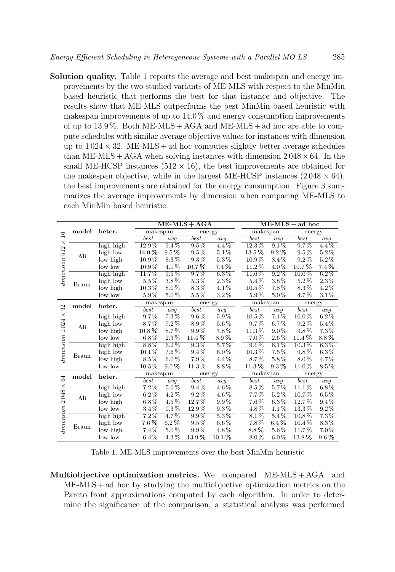Solution quality. Table 1 reports the average and best makespan and energy improvements by the two studied variants of ME-MLS with respect to the MinMin based heuristic that performs the best for that instance and objective. The results show that ME-MLS outperforms the best MinMin based heuristic with makespan improvements of up to 14.0 % and energy consumption improvements of up to  $13.9\%$ . Both ME-MLS + AGA and ME-MLS + ad hoc are able to compute schedules with similar average objective values for instances with dimension up to  $1024 \times 32$ . ME-MLS + ad hoc computes slightly better average schedules than ME-MLS + AGA when solving instances with dimension  $2048 \times 64$ . In the small ME-HCSP instances  $(512 \times 16)$ , the best improvements are obtained for the makespan objective, while in the largest ME-HCSP instances  $(2048 \times 64)$ , the best improvements are obtained for the energy consumption. Figure 3 summarizes the average improvements by dimension when comparing ME-MLS to each MinMin based heuristic.

|                                                 |              |           |            |           | $ME-MLS + AGA$ |           |            | $ME-MLS + ad hoc$ |          |           |  |
|-------------------------------------------------|--------------|-----------|------------|-----------|----------------|-----------|------------|-------------------|----------|-----------|--|
| $\overline{16}$<br>$\times$<br>512<br>dimension | model        | heter.    | makespan   |           | energy         |           |            | makespan          |          | energy    |  |
|                                                 |              |           | best       | avq       | best           | avg       | best       | avq               | best     | avq       |  |
|                                                 |              | high high | $12.9\,\%$ | $9.4\%$   | $9.5\%$        | $4.4\%$   | $12.3\%$   | $9.1\%$           | $9.7\%$  | $4.4\%$   |  |
|                                                 | Ali          | high low  | 14.0%      | $9.5\,\%$ | $9.5\%$        | $5.1\%$   | $13.5\,\%$ | $9.2\%$           | $9.5\%$  | $5.2\%$   |  |
|                                                 |              | low high  | 10.9%      | 8.3%      | $9.3\,\%$      | $5.3\%$   | $10.9\,\%$ | 8.4%              | $9.2\%$  | $5.2\%$   |  |
|                                                 |              | low low   | $10.9\,\%$ | 4.1%      | 10.7%          | $7.4\%$   | 11.2%      | $4.0\%$           | 10.7%    | $7.4\%$   |  |
|                                                 |              | high high | 11.7%      | $9.5\%$   | $9.7\%$        | $6.3\,\%$ | $11.6\%$   | $9.2\%$           | $10.0\%$ | $6.2\%$   |  |
|                                                 | <b>Braun</b> | high low  | 5.5%       | 3.8%      | $5.3\%$        | $2.3\,\%$ | 5.4%       | $3.8\%$           | $5.2\%$  | $2.3\,\%$ |  |
|                                                 |              | low high  | $10.3\,\%$ | 8.0%      | 8.3%           | 4.1%      | $10.5\%$   | 7.8%              | 8.3%     | 4.2%      |  |
|                                                 |              | low low   | 5.9%       | $5.0\%$   | $5.5\%$        | $3.2\%$   | 5.9%       | $5.0\%$           | 4.7%     | $3.1\%$   |  |
|                                                 | model        | heter.    | makespan   |           | energy         |           |            | makespan          |          | energy    |  |
| 32                                              |              |           | best       | avg       | best           | avq       | best       | avg               | best     | avg       |  |
| X                                               |              | high high | $9.7\%$    | $7.3\%$   | $9.6\%$        | $5.9\%$   | $10.5\%$   | $7.1\%$           | $10.0\%$ | $6.2\%$   |  |
|                                                 | Ali          | high low  | 8.7%       | $7.2\%$   | 8.9%           | 5.6%      | $9.7\%$    | $6.7\%$           | $9.2\%$  | 5.4%      |  |
|                                                 |              | low high  | $10.8\,\%$ | 8.7%      | $9.9\%$        | $7.8\%$   | 11.3%      | $9.0\%$           | 9.8%     | $7.3\,\%$ |  |
| dimension 1024                                  |              | low low   | $6.8\%$    | $2.3\,\%$ | 11.4%          | 8.9%      | $7.0\%$    | $2.6\,\%$         | 11.4%    | 8.8%      |  |
|                                                 |              | high high | $8.8\%$    | $6.2\%$   | $9.3\%$        | $5.7\%$   | $9.1\%$    | $6.1\%$           | $10.3\%$ | $6.3\%$   |  |
|                                                 |              | high low  | $10.1\%$   | 7.6%      | $9.4\%$        | $6.0\%$   | $10.3\,\%$ | $7.5\%$           | 9.8%     | $6.3\,\%$ |  |
|                                                 | <b>Braun</b> | low high  | $8.5\%$    | $6.0\%$   | $7.9\%$        | $4.4\%$   | $8.7\%$    | 5.8%              | $8.0\%$  | 4.7%      |  |
|                                                 |              | low low   | $10.5\%$   | $9.0\%$   | 11.3%          | 8.8%      | $11.3\%$   | $9.3\%$           | 11.0%    | 8.5%      |  |
|                                                 | model        | heter.    | makespan   |           | energy         |           |            | makespan          |          | energy    |  |
| $\Im$                                           |              |           | $_{best}$  | avq       | best           | avq       | best       | avq               | best     | avq       |  |
| ×                                               |              | high high | $7.2\%$    | $5.0\%$   | $9.4\%$        | $4.6\%$   | $8.5\%$    | $5.7\%$           | $11.1\%$ | $6.8\%$   |  |
| 2048<br>dimension                               | Ali          | high low  | $6.2\%$    | 4.2%      | $9.2\%$        | 4.6%      | $7.7\%$    | $5.2\%$           | 10.7%    | $6.5\,\%$ |  |
|                                                 |              | low high  | $6.8\%$    | 4.5%      | 12.7%          | $9.9\%$   | $7.6\,\%$  | $6.3\,\%$         | 12.7%    | $9.4\%$   |  |
|                                                 |              | low low   | $3.4\%$    | $0.3\,\%$ | 12.9%          | $9.3\,\%$ | 4.8%       | $1.1\%$           | 13.3%    | $9.2\,\%$ |  |
|                                                 |              | high high | $7.2\%$    | $4.7\%$   | $9.9\%$        | $5.3\,\%$ | $8.1\%$    | $5.4\%$           | $10.8\%$ | $7.3\%$   |  |
|                                                 | <b>Braun</b> | high low  | $7.6\,\%$  | $6.2\,\%$ | $9.5\%$        | $6.6\,\%$ | 7.8%       | $6.4\%$           | $10.4\%$ | 8.3%      |  |
|                                                 |              | low high  | $7.4\%$    | $5.0\%$   | $9.9\%$        | 4.8%      | 8.8%       | $5.6\,\%$         | 11.7%    | $7.0\%$   |  |
|                                                 |              | low low   | $6.4\%$    | 4.3%      | 13.9%          | $10.1\%$  | $8.0\%$    | $6.0\%$           | 13.8%    | $9.6\%$   |  |

Table 1. ME-MLS improvements over the best MinMin heuristic

Multiobjective optimization metrics. We compared ME-MLS + AGA and  $ME-MLS + ad$  hoc by studying the multiobjective optimization metrics on the Pareto front approximations computed by each algorithm. In order to determine the significance of the comparison, a statistical analysis was performed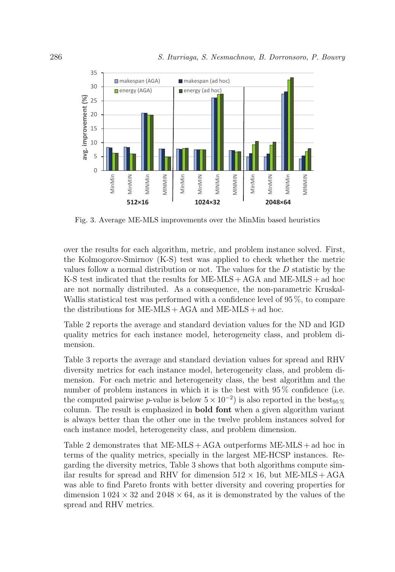

Fig. 3. Average ME-MLS improvements over the MinMin based heuristics

over the results for each algorithm, metric, and problem instance solved. First, the Kolmogorov-Smirnov (K-S) test was applied to check whether the metric values follow a normal distribution or not. The values for the D statistic by the K-S test indicated that the results for ME-MLS + AGA and ME-MLS + ad hoc are not normally distributed. As a consequence, the non-parametric Kruskal-Wallis statistical test was performed with a confidence level of 95 %, to compare the distributions for  $ME\text{-}MLS + AGA$  and  $ME\text{-}MLS + ad$  hoc.

Table 2 reports the average and standard deviation values for the ND and IGD quality metrics for each instance model, heterogeneity class, and problem dimension.

Table 3 reports the average and standard deviation values for spread and RHV diversity metrics for each instance model, heterogeneity class, and problem dimension. For each metric and heterogeneity class, the best algorithm and the number of problem instances in which it is the best with  $95\%$  confidence (i.e. the computed pairwise p-value is below  $5 \times 10^{-2}$ ) is also reported in the best<sub>95%</sub> column. The result is emphasized in bold font when a given algorithm variant is always better than the other one in the twelve problem instances solved for each instance model, heterogeneity class, and problem dimension.

Table 2 demonstrates that  $ME\text{-}MLS + AGA$  outperforms  $ME\text{-}MLS + ad$  hoc in terms of the quality metrics, specially in the largest ME-HCSP instances. Regarding the diversity metrics, Table 3 shows that both algorithms compute similar results for spread and RHV for dimension  $512 \times 16$ , but ME-MLS + AGA was able to find Pareto fronts with better diversity and covering properties for dimension  $1024 \times 32$  and  $2048 \times 64$ , as it is demonstrated by the values of the spread and RHV metrics.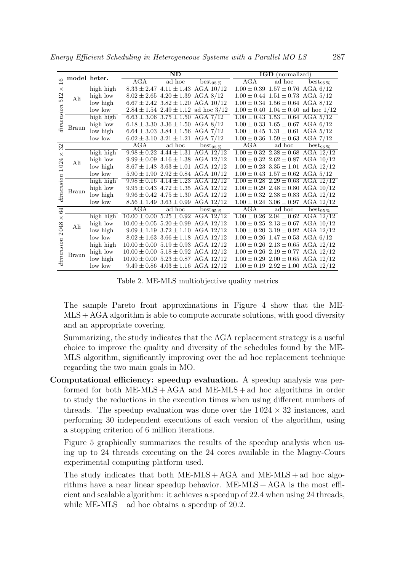| $\frac{6}{1}$                          | model heter. |           |                                            | ND                                         |                                               | <b>IGD</b> (normalized) |                                            |                                               |  |
|----------------------------------------|--------------|-----------|--------------------------------------------|--------------------------------------------|-----------------------------------------------|-------------------------|--------------------------------------------|-----------------------------------------------|--|
|                                        |              |           | AGA                                        | ad hoc                                     | $\mathrm{best}_{95\,\%}$                      | AGA                     | ad hoc                                     | $\mathrm{best}_{95\,\%}$                      |  |
| ×<br>Z<br>51<br>imension               | Ali          | high high |                                            |                                            | $8.33 \pm 2.47$ $4.11 \pm 1.43$ AGA $10/12$   |                         | $1.00 \pm 0.39$ $1.57 \pm 0.76$ AGA 6/12   |                                               |  |
|                                        |              | high low  |                                            | $8.02 \pm 2.65$ $4.20 \pm 1.39$ AGA $8/12$ |                                               |                         | $1.00 \pm 0.44$ $1.51 \pm 0.73$ AGA $5/12$ |                                               |  |
|                                        |              | low high  |                                            |                                            | $6.67 \pm 2.42$ 3.82 $\pm$ 1.20 AGA 10/12     |                         | $1.00 \pm 0.34$ $1.56 \pm 0.64$ AGA 8/12   |                                               |  |
|                                        |              | low low   |                                            |                                            | $2.84 \pm 1.54$ $2.49 \pm 1.12$ ad hoc $3/12$ |                         |                                            | $1.00 \pm 0.40$ $1.04 \pm 0.40$ ad hoc $1/12$ |  |
|                                        | Braun        | high high |                                            | $6.63 \pm 3.06$ $3.75 \pm 1.50$ AGA $7/12$ |                                               |                         | $1.00 \pm 0.43$ $1.53 \pm 0.64$ AGA $5/12$ |                                               |  |
|                                        |              | high low  |                                            | $6.18 \pm 3.30$ $3.36 \pm 1.50$ AGA $8/12$ |                                               |                         | $1.00 \pm 0.33$ $1.65 \pm 0.67$ AGA 6/12   |                                               |  |
|                                        |              | low high  |                                            | $6.64 \pm 3.03$ $3.84 \pm 1.56$ AGA $7/12$ |                                               |                         | $1.00 \pm 0.45$ $1.31 \pm 0.61$ AGA $5/12$ |                                               |  |
|                                        |              | low low   |                                            | $6.02 \pm 3.10$ $3.21 \pm 1.21$ AGA $7/12$ |                                               |                         | $1.00 \pm 0.36$ $1.59 \pm 0.63$ AGA $7/12$ |                                               |  |
| $\mathfrak{L}$                         |              |           | AGA                                        | ad hoc                                     | $best_{95\%}$                                 | AGA                     | ad hoc                                     | $best_{95\%}$                                 |  |
| $\times$                               |              | high high |                                            |                                            | $9.98 \pm 0.22$ 4.44 $\pm$ 1.31 AGA 12/12     |                         |                                            | $1.00 \pm 0.32$ $2.38 \pm 0.68$ AGA $12/12$   |  |
| 024                                    | Ali          | high low  |                                            |                                            | $9.99 \pm 0.09$ 4.16 $\pm$ 1.38 AGA 12/12     |                         |                                            | $1.00 \pm 0.32$ $2.62 \pm 0.87$ AGA $10/12$   |  |
|                                        |              | low high  |                                            |                                            | $8.67 \pm 1.48$ $3.63 \pm 1.01$ AGA $12/12$   |                         |                                            | $1.00 \pm 0.23$ $3.35 \pm 1.01$ AGA $12/12$   |  |
|                                        |              | low low   |                                            |                                            | $5.90 \pm 1.90$ $2.92 \pm 0.84$ AGA $10/12$   |                         | $1.00 \pm 0.43$ $1.57 \pm 0.62$ AGA $5/12$ |                                               |  |
|                                        |              | high high |                                            |                                            | $9.98 \pm 0.16$ $4.14 \pm 1.23$ AGA $12/12$   |                         |                                            | $1.00 \pm 0.28$ $2.29 \pm 0.63$ AGA $12/12$   |  |
| dimension                              | Braun        | high low  |                                            |                                            | $9.95 \pm 0.43$ $4.72 \pm 1.35$ AGA $12/12$   |                         |                                            | $1.00 \pm 0.29$ $2.48 \pm 0.80$ AGA $10/12$   |  |
|                                        |              | low high  |                                            |                                            | $9.96 \pm 0.42$ $4.75 \pm 1.30$ AGA $12/12$   |                         |                                            | $1.00 \pm 0.32$ $2.38 \pm 0.83$ AGA $12/12$   |  |
|                                        |              | low low   |                                            |                                            | $8.56 \pm 1.49$ $3.63 \pm 0.99$ AGA $12/12$   |                         |                                            | $1.00 \pm 0.24$ 3.06 $\pm$ 0.97 AGA 12/12     |  |
| 54                                     |              |           | AGA                                        | ad hoc                                     | $\overline{\text{best}}_{95\,\%}$             | AGA                     | ad hoc                                     | $\mathrm{best}_{95\,\%}$                      |  |
| $\times$<br>048<br>$\sim$<br>dimension | Ali          | high high | $10.00 \pm 0.00$ 5.25 $\pm$ 0.92 AGA 12/12 |                                            |                                               |                         |                                            | $1.00 \pm 0.26$ $2.04 \pm 0.62$ AGA $12/12$   |  |
|                                        |              | high low  | $10.00 \pm 0.05$ 5.20 $\pm$ 0.99 AGA 12/12 |                                            |                                               |                         |                                            | $1.00 \pm 0.25$ $2.13 \pm 0.67$ AGA $10/12$   |  |
|                                        |              | low high  |                                            |                                            | $9.09 \pm 1.19$ $3.72 \pm 1.10$ AGA $12/12$   |                         |                                            | $1.00 \pm 0.20$ $3.19 \pm 0.92$ AGA $12/12$   |  |
|                                        |              | low low   |                                            |                                            | $8.02 \pm 1.63$ 3.66 $\pm$ 1.18 AGA 12/12     |                         | $1.00 \pm 0.26$ $1.47 \pm 0.53$ AGA 6/12   |                                               |  |
|                                        | Braun        | high high | $10.00 \pm 0.00$ 5.19 $\pm$ 0.93 AGA 12/12 |                                            |                                               |                         |                                            | $1.00 \pm 0.26$ $2.13 \pm 0.65$ AGA $12/12$   |  |
|                                        |              | high low  | $10.00 \pm 0.00$ 5.18 $\pm$ 0.92 AGA 12/12 |                                            |                                               |                         |                                            | $1.00 \pm 0.26$ $2.19 \pm 0.77$ AGA $12/12$   |  |
|                                        |              | low high  | $10.00 \pm 0.00$ 5.23 $\pm$ 0.87 AGA 12/12 |                                            |                                               |                         |                                            | $1.00 \pm 0.29$ $2.00 \pm 0.65$ AGA $12/12$   |  |
|                                        |              | low low   |                                            |                                            | $9.49 \pm 0.86$ $4.03 \pm 1.16$ AGA $12/12$   |                         |                                            | $1.00 \pm 0.19$ $2.92 \pm 1.00$ AGA $12/12$   |  |

Energy Efficient Scheduling in Heterogeneous Systems with a Parallel MO LS 287

Table 2. ME-MLS multiobjective quality metrics

The sample Pareto front approximations in Figure 4 show that the ME-MLS + AGA algorithm is able to compute accurate solutions, with good diversity and an appropriate covering.

Summarizing, the study indicates that the AGA replacement strategy is a useful choice to improve the quality and diversity of the schedules found by the ME-MLS algorithm, significantly improving over the ad hoc replacement technique regarding the two main goals in MO.

Computational efficiency: speedup evaluation. A speedup analysis was performed for both ME-MLS + AGA and ME-MLS + ad hoc algorithms in order to study the reductions in the execution times when using different numbers of threads. The speedup evaluation was done over the  $1024 \times 32$  instances, and performing 30 independent executions of each version of the algorithm, using a stopping criterion of 6 million iterations.

Figure 5 graphically summarizes the results of the speedup analysis when using up to 24 threads executing on the 24 cores available in the Magny-Cours experimental computing platform used.

The study indicates that both  $ME\text{-}MLS + AGA$  and  $ME\text{-}MLS + ad$  hoc algorithms have a near linear speedup behavior.  $ME-MLS + AGA$  is the most efficient and scalable algorithm: it achieves a speedup of 22.4 when using 24 threads, while  $ME\text{-}MLS + \text{ad}$  hoc obtains a speedup of 20.2.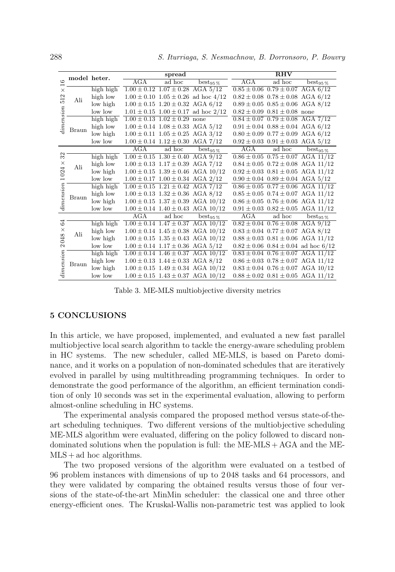| Ġ                                                | model heter. |           |     | spread                                     |                                               | <b>RHV</b> |                                            |                                             |  |
|--------------------------------------------------|--------------|-----------|-----|--------------------------------------------|-----------------------------------------------|------------|--------------------------------------------|---------------------------------------------|--|
|                                                  |              |           | AGA | ad hoc                                     | $best_{95\%}$                                 | AGA        | ad hoc                                     | best <sub>95</sub> $\%$                     |  |
| $\times$<br>$\mathbf{\Omega}$<br>55<br>limension |              | high high |     | $1.00 \pm 0.12$ $1.07 \pm 0.28$ AGA $5/12$ |                                               |            | $0.85 \pm 0.06$ $0.79 \pm 0.07$ AGA 6/12   |                                             |  |
|                                                  | Ali          | high low  |     |                                            | $1.00 \pm 0.10$ $1.05 \pm 0.26$ ad hoc $4/12$ |            | $0.82 \pm 0.08$ $0.78 \pm 0.08$ AGA 6/12   |                                             |  |
|                                                  |              | low high  |     | $1.00 \pm 0.15$ $1.20 \pm 0.32$ AGA 6/12   |                                               |            | $0.89 \pm 0.05$ $0.85 \pm 0.06$ AGA 8/12   |                                             |  |
|                                                  |              | low low   |     |                                            | $1.01 \pm 0.15$ $1.00 \pm 0.17$ ad hoc $2/12$ |            | $0.82 \pm 0.09$ $0.81 \pm 0.08$ none       |                                             |  |
|                                                  | Braun        | high high |     | $1.00 \pm 0.13$ $1.02 \pm 0.29$ none       |                                               |            | $0.84 \pm 0.07$ $0.79 \pm 0.08$ AGA 7/12   |                                             |  |
|                                                  |              | high low  |     | $1.00 \pm 0.14$ $1.08 \pm 0.33$ AGA 5/12   |                                               |            | $0.91 \pm 0.04$ $0.88 \pm 0.04$ AGA 6/12   |                                             |  |
|                                                  |              | low high  |     | $1.00 \pm 0.11$ $1.05 \pm 0.25$ AGA 3/12   |                                               |            | $0.80 \pm 0.09$ $0.77 \pm 0.09$ AGA 6/12   |                                             |  |
|                                                  |              | low low   |     | $1.00 \pm 0.14$ $1.12 \pm 0.30$ AGA 7/12   |                                               |            | $0.92 \pm 0.03$ $0.91 \pm 0.03$ AGA 5/12   |                                             |  |
|                                                  |              |           | AGA | ad hoc                                     | $\mathrm{best}_{95\,\%}$                      | AGA        | ad hoc                                     | $\mathrm{best}_{95\,\%}$                    |  |
| 32                                               |              | high high |     | $1.00 \pm 0.15$ $1.30 \pm 0.40$ AGA 9/12   |                                               |            |                                            | $0.86 \pm 0.05$ $0.75 \pm 0.07$ AGA 11/12   |  |
| $\times$                                         | Ali          | high low  |     | $1.00 \pm 0.13$ $1.17 \pm 0.39$ AGA 7/12   |                                               |            |                                            | $0.84 \pm 0.05$ $0.72 \pm 0.08$ AGA 11/12   |  |
| 024                                              |              | low high  |     |                                            | $1.00 \pm 0.15$ $1.39 \pm 0.46$ AGA $10/12$   |            |                                            | $0.92 \pm 0.03$ $0.81 \pm 0.05$ AGA 11/12   |  |
| $\overline{\phantom{0}}$                         |              | low low   |     | $1.00 \pm 0.17$ $1.00 \pm 0.34$ AGA $2/12$ |                                               |            | $0.90 \pm 0.04$ $0.89 \pm 0.04$ AGA $5/12$ |                                             |  |
| dimension                                        |              | high high |     | $1.00 \pm 0.15$ $1.21 \pm 0.42$ AGA 7/12   |                                               |            |                                            | $0.86 \pm 0.05$ $0.77 \pm 0.06$ AGA 11/12   |  |
|                                                  | Braun        | high low  |     | $1.00 \pm 0.13$ $1.32 \pm 0.36$ AGA 8/12   |                                               |            |                                            | $0.85 \pm 0.05$ $0.74 \pm 0.07$ AGA 11/12   |  |
|                                                  |              | low high  |     |                                            | $1.00 \pm 0.15$ $1.37 \pm 0.39$ AGA $10/12$   |            |                                            | $0.86 \pm 0.05$ $0.76 \pm 0.06$ AGA 11/12   |  |
|                                                  |              | low low   |     |                                            | $1.00 \pm 0.14$ $1.40 \pm 0.43$ AGA $10/12$   |            |                                            | $0.91 \pm 0.03$ $0.82 \pm 0.05$ AGA 11/12   |  |
|                                                  |              |           | AGA | ad hoc                                     | $best_{95\%}$                                 | AGA        | ad hoc                                     | $\mathrm{best}_{95\,\%}$                    |  |
| 3<br>$\times$<br>048<br>$\sim$<br>dimension      | Ali          | high high |     |                                            | $1.00 \pm 0.14$ $1.47 \pm 0.37$ AGA $10/12$   |            | $0.82 \pm 0.04$ $0.76 \pm 0.08$ AGA 9/12   |                                             |  |
|                                                  |              | high low  |     |                                            | $1.00 \pm 0.14$ $1.45 \pm 0.38$ AGA $10/12$   |            | $0.83 \pm 0.04$ $0.77 \pm 0.07$ AGA 8/12   |                                             |  |
|                                                  |              | low high  |     |                                            | $1.00 \pm 0.15$ $1.35 \pm 0.43$ AGA $10/12$   |            |                                            | $0.88 \pm 0.03$ $0.81 \pm 0.06$ AGA 11/12   |  |
|                                                  |              | low low   |     | $1.00 \pm 0.14$ $1.17 \pm 0.36$ AGA $5/12$ |                                               |            |                                            | $0.82 \pm 0.06$ $0.84 \pm 0.04$ ad hoc 6/12 |  |
|                                                  | Braun        | high high |     |                                            | $1.00 \pm 0.14$ $1.46 \pm 0.37$ AGA $10/12$   |            |                                            | $0.83 \pm 0.04$ $0.76 \pm 0.07$ AGA 11/12   |  |
|                                                  |              | high low  |     | $1.00 \pm 0.13$ $1.44 \pm 0.33$ AGA $8/12$ |                                               |            |                                            | $0.86 \pm 0.03$ $0.78 \pm 0.07$ AGA 11/12   |  |
|                                                  |              | low high  |     |                                            | $1.00 \pm 0.15$ $1.49 \pm 0.34$ AGA $10/12$   |            |                                            | $0.83 \pm 0.04$ $0.76 \pm 0.07$ AGA $10/12$ |  |
|                                                  |              | low low   |     |                                            | $1.00 \pm 0.15$ $1.43 \pm 0.37$ AGA $10/12$   |            |                                            | $0.88 \pm 0.02$ $0.81 \pm 0.05$ AGA 11/12   |  |

Table 3. ME-MLS multiobjective diversity metrics

#### 5 CONCLUSIONS

In this article, we have proposed, implemented, and evaluated a new fast parallel multiobjective local search algorithm to tackle the energy-aware scheduling problem in HC systems. The new scheduler, called ME-MLS, is based on Pareto dominance, and it works on a population of non-dominated schedules that are iteratively evolved in parallel by using multithreading programming techniques. In order to demonstrate the good performance of the algorithm, an efficient termination condition of only 10 seconds was set in the experimental evaluation, allowing to perform almost-online scheduling in HC systems.

The experimental analysis compared the proposed method versus state-of-theart scheduling techniques. Two different versions of the multiobjective scheduling ME-MLS algorithm were evaluated, differing on the policy followed to discard nondominated solutions when the population is full: the ME-MLS + AGA and the ME- $MLS + ad hoc algorithms.$ 

The two proposed versions of the algorithm were evaluated on a testbed of 96 problem instances with dimensions of up to 2 048 tasks and 64 processors, and they were validated by comparing the obtained results versus those of four versions of the state-of-the-art MinMin scheduler: the classical one and three other energy-efficient ones. The Kruskal-Wallis non-parametric test was applied to look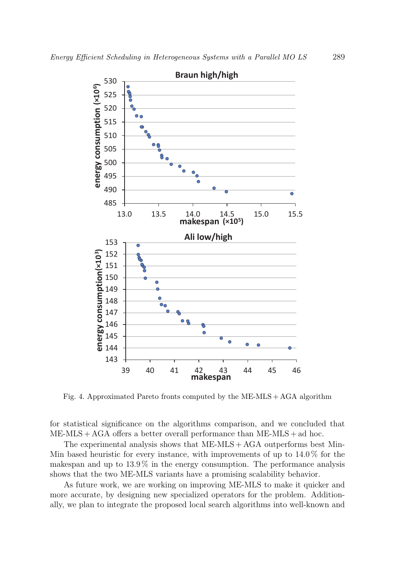

Fig. 4. Approximated Pareto fronts computed by the ME-MLS + AGA algorithm

for statistical significance on the algorithms comparison, and we concluded that  $ME-MLS + AGA$  offers a better overall performance than  $ME-MLS + ad$  hoc.

The experimental analysis shows that  $ME-MLS + AGA$  outperforms best Min-Min based heuristic for every instance, with improvements of up to  $14.0\%$  for the makespan and up to 13.9 % in the energy consumption. The performance analysis shows that the two ME-MLS variants have a promising scalability behavior.

As future work, we are working on improving ME-MLS to make it quicker and more accurate, by designing new specialized operators for the problem. Additionally, we plan to integrate the proposed local search algorithms into well-known and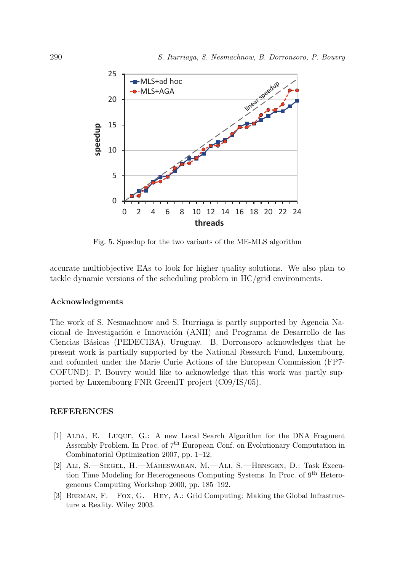

Fig. 5. Speedup for the two variants of the ME-MLS algorithm

accurate multiobjective EAs to look for higher quality solutions. We also plan to tackle dynamic versions of the scheduling problem in HC/grid environments.

#### Acknowledgments

The work of S. Nesmachnow and S. Iturriaga is partly supported by Agencia Nacional de Investigación e Innovación (ANII) and Programa de Desarrollo de las Ciencias Básicas (PEDECIBA), Uruguay. B. Dorronsoro acknowledges that he present work is partially supported by the National Research Fund, Luxembourg, and cofunded under the Marie Curie Actions of the European Commission (FP7- COFUND). P. Bouvry would like to acknowledge that this work was partly supported by Luxembourg FNR GreenIT project (C09/IS/05).

#### REFERENCES

- [1] Alba, E.—Luque, G.: A new Local Search Algorithm for the DNA Fragment Assembly Problem. In Proc. of 7th European Conf. on Evolutionary Computation in Combinatorial Optimization 2007, pp. 1–12.
- [2] Ali, S.—Siegel, H.—Maheswaran, M.—Ali, S.—Hensgen, D.: Task Execution Time Modeling for Heterogeneous Computing Systems. In Proc. of 9<sup>th</sup> Heterogeneous Computing Workshop 2000, pp. 185–192.
- [3] Berman, F.—Fox, G.—Hey, A.: Grid Computing: Making the Global Infrastructure a Reality. Wiley 2003.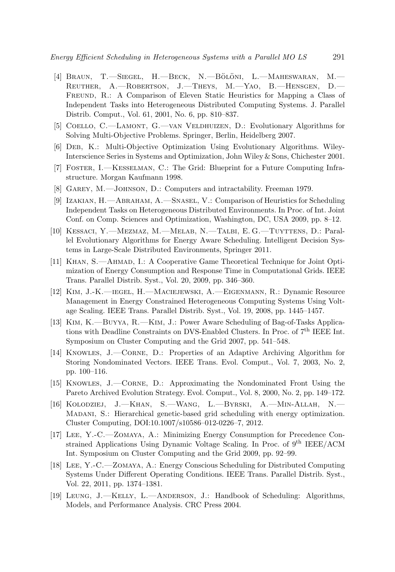- [4] BRAUN, T.—SIEGEL, H.—BECK, N.—BÖLÖNI, L.—MAHESWARAN, M.— Reuther, A.—Robertson, J.—Theys, M.—Yao, B.—Hensgen, D.— FREUND, R.: A Comparison of Eleven Static Heuristics for Mapping a Class of Independent Tasks into Heterogeneous Distributed Computing Systems. J. Parallel Distrib. Comput., Vol. 61, 2001, No. 6, pp. 810–837.
- [5] Coello, C.—Lamont, G.—van Veldhuizen, D.: Evolutionary Algorithms for Solving Multi-Objective Problems. Springer, Berlin, Heidelberg 2007.
- [6] Deb, K.: Multi-Objective Optimization Using Evolutionary Algorithms. Wiley-Interscience Series in Systems and Optimization, John Wiley & Sons, Chichester 2001.
- [7] Foster, I.—Kesselman, C.: The Grid: Blueprint for a Future Computing Infrastructure. Morgan Kaufmann 1998.
- [8] GAREY, M.—JOHNSON, D.: Computers and intractability. Freeman 1979.
- [9] Izakian, H.—Abraham, A.—Snasel, V.: Comparison of Heuristics for Scheduling Independent Tasks on Heterogeneous Distributed Environments. In Proc. of Int. Joint Conf. on Comp. Sciences and Optimization, Washington, DC, USA 2009, pp. 8–12.
- [10] Kessaci, Y.—Mezmaz, M.—Melab, N.—Talbi, E. G.—Tuyttens, D.: Parallel Evolutionary Algorithms for Energy Aware Scheduling. Intelligent Decision Systems in Large-Scale Distributed Environments, Springer 2011.
- [11] Khan, S.—Ahmad, I.: A Cooperative Game Theoretical Technique for Joint Optimization of Energy Consumption and Response Time in Computational Grids. IEEE Trans. Parallel Distrib. Syst., Vol. 20, 2009, pp. 346–360.
- [12] Kim, J.-K.—iegel, H.—Maciejewski, A.—Eigenmann, R.: Dynamic Resource Management in Energy Constrained Heterogeneous Computing Systems Using Voltage Scaling. IEEE Trans. Parallel Distrib. Syst., Vol. 19, 2008, pp. 1445–1457.
- [13] Kim, K.—Buyya, R.—Kim, J.: Power Aware Scheduling of Bag-of-Tasks Applications with Deadline Constraints on DVS-Enabled Clusters. In Proc. of  $7<sup>th</sup> IEEE Int.$ Symposium on Cluster Computing and the Grid 2007, pp. 541–548.
- [14] Knowles, J.—Corne, D.: Properties of an Adaptive Archiving Algorithm for Storing Nondominated Vectors. IEEE Trans. Evol. Comput., Vol. 7, 2003, No. 2, pp. 100–116.
- [15] Knowles, J.—Corne, D.: Approximating the Nondominated Front Using the Pareto Archived Evolution Strategy. Evol. Comput., Vol. 8, 2000, No. 2, pp. 149–172.
- [16] Kolodziej, J.—Khan, S.—Wang, L.—Byrski, A.—Min-Allah, N.— Madani, S.: Hierarchical genetic-based grid scheduling with energy optimization. Cluster Computing, DOI:10.1007/s10586–012-0226–7, 2012.
- [17] Lee, Y.-C.—Zomaya, A.: Minimizing Energy Consumption for Precedence Constrained Applications Using Dynamic Voltage Scaling. In Proc. of 9<sup>th</sup> IEEE/ACM Int. Symposium on Cluster Computing and the Grid 2009, pp. 92–99.
- [18] Lee, Y.-C.—Zomaya, A.: Energy Conscious Scheduling for Distributed Computing Systems Under Different Operating Conditions. IEEE Trans. Parallel Distrib. Syst., Vol. 22, 2011, pp. 1374–1381.
- [19] Leung, J.—Kelly, L.—Anderson, J.: Handbook of Scheduling: Algorithms, Models, and Performance Analysis. CRC Press 2004.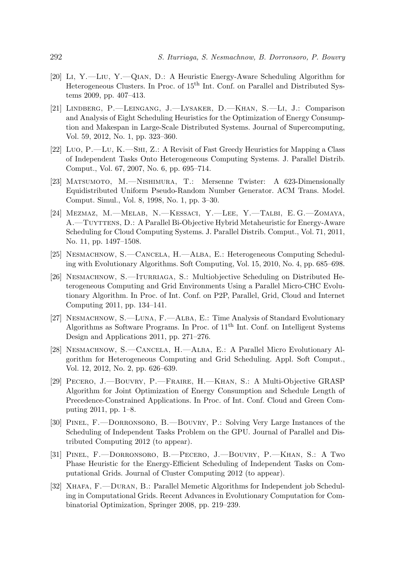- [20] Li, Y.—Liu, Y.—Qian, D.: A Heuristic Energy-Aware Scheduling Algorithm for Heterogeneous Clusters. In Proc. of 15<sup>th</sup> Int. Conf. on Parallel and Distributed Systems 2009, pp. 407–413.
- [21] Lindberg, P.—Leingang, J.—Lysaker, D.—Khan, S.—Li, J.: Comparison and Analysis of Eight Scheduling Heuristics for the Optimization of Energy Consumption and Makespan in Large-Scale Distributed Systems. Journal of Supercomputing, Vol. 59, 2012, No. 1, pp. 323–360.
- [22] Luo, P.—Lu, K.—Shi, Z.: A Revisit of Fast Greedy Heuristics for Mapping a Class of Independent Tasks Onto Heterogeneous Computing Systems. J. Parallel Distrib. Comput., Vol. 67, 2007, No. 6, pp. 695–714.
- [23] Matsumoto, M.—Nishimura, T.: Mersenne Twister: A 623-Dimensionally Equidistributed Uniform Pseudo-Random Number Generator. ACM Trans. Model. Comput. Simul., Vol. 8, 1998, No. 1, pp. 3–30.
- [24] Mezmaz, M.—Melab, N.—Kessaci, Y.—Lee, Y.—Talbi, E. G.—Zomaya, A.—Tuyttens, D.: A Parallel Bi-Objective Hybrid Metaheuristic for Energy-Aware Scheduling for Cloud Computing Systems. J. Parallel Distrib. Comput., Vol. 71, 2011, No. 11, pp. 1497–1508.
- [25] Nesmachnow, S.—Cancela, H.—Alba, E.: Heterogeneous Computing Scheduling with Evolutionary Algorithms. Soft Computing, Vol. 15, 2010, No. 4, pp. 685–698.
- [26] NESMACHNOW, S.—ITURRIAGA, S.: Multiobjective Scheduling on Distributed Heterogeneous Computing and Grid Environments Using a Parallel Micro-CHC Evolutionary Algorithm. In Proc. of Int. Conf. on P2P, Parallel, Grid, Cloud and Internet Computing 2011, pp. 134–141.
- [27] Nesmachnow, S.—Luna, F.—Alba, E.: Time Analysis of Standard Evolutionary Algorithms as Software Programs. In Proc. of 11<sup>th</sup> Int. Conf. on Intelligent Systems Design and Applications 2011, pp. 271–276.
- [28] Nesmachnow, S.—Cancela, H.—Alba, E.: A Parallel Micro Evolutionary Algorithm for Heterogeneous Computing and Grid Scheduling. Appl. Soft Comput., Vol. 12, 2012, No. 2, pp. 626–639.
- [29] Pecero, J.—Bouvry, P.—Fraire, H.—Khan, S.: A Multi-Objective GRASP Algorithm for Joint Optimization of Energy Consumption and Schedule Length of Precedence-Constrained Applications. In Proc. of Int. Conf. Cloud and Green Computing 2011, pp. 1–8.
- [30] Pinel, F.—Dorronsoro, B.—Bouvry, P.: Solving Very Large Instances of the Scheduling of Independent Tasks Problem on the GPU. Journal of Parallel and Distributed Computing 2012 (to appear).
- [31] Pinel, F.—Dorronsoro, B.—Pecero, J.—Bouvry, P.—Khan, S.: A Two Phase Heuristic for the Energy-Efficient Scheduling of Independent Tasks on Computational Grids. Journal of Cluster Computing 2012 (to appear).
- [32] Xhafa, F.—Duran, B.: Parallel Memetic Algorithms for Independent job Scheduling in Computational Grids. Recent Advances in Evolutionary Computation for Combinatorial Optimization, Springer 2008, pp. 219–239.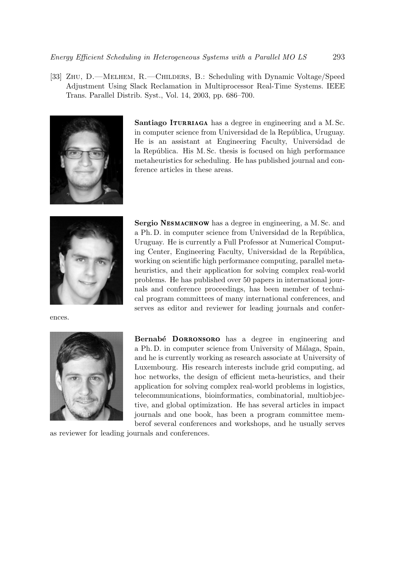[33] Zhu, D.—Melhem, R.—Childers, B.: Scheduling with Dynamic Voltage/Speed Adjustment Using Slack Reclamation in Multiprocessor Real-Time Systems. IEEE Trans. Parallel Distrib. Syst., Vol. 14, 2003, pp. 686–700.



Santiago ITURRIAGA has a degree in engineering and a M. Sc. in computer science from Universidad de la República, Uruguay. He is an assistant at Engineering Faculty, Universidad de la República. His M. Sc. thesis is focused on high performance metaheuristics for scheduling. He has published journal and conference articles in these areas.



ences.



Sergio NESMACHNOW has a degree in engineering, a M. Sc. and a Ph. D. in computer science from Universidad de la República, Uruguay. He is currently a Full Professor at Numerical Computing Center, Engineering Faculty, Universidad de la República, working on scientific high performance computing, parallel metaheuristics, and their application for solving complex real-world problems. He has published over 50 papers in international journals and conference proceedings, has been member of technical program committees of many international conferences, and serves as editor and reviewer for leading journals and confer-

Bernabé DORRONSORO has a degree in engineering and a Ph. D. in computer science from University of Málaga, Spain, and he is currently working as research associate at University of Luxembourg. His research interests include grid computing, ad hoc networks, the design of efficient meta-heuristics, and their application for solving complex real-world problems in logistics, telecommunications, bioinformatics, combinatorial, multiobjective, and global optimization. He has several articles in impact journals and one book, has been a program committee memberof several conferences and workshops, and he usually serves

as reviewer for leading journals and conferences.